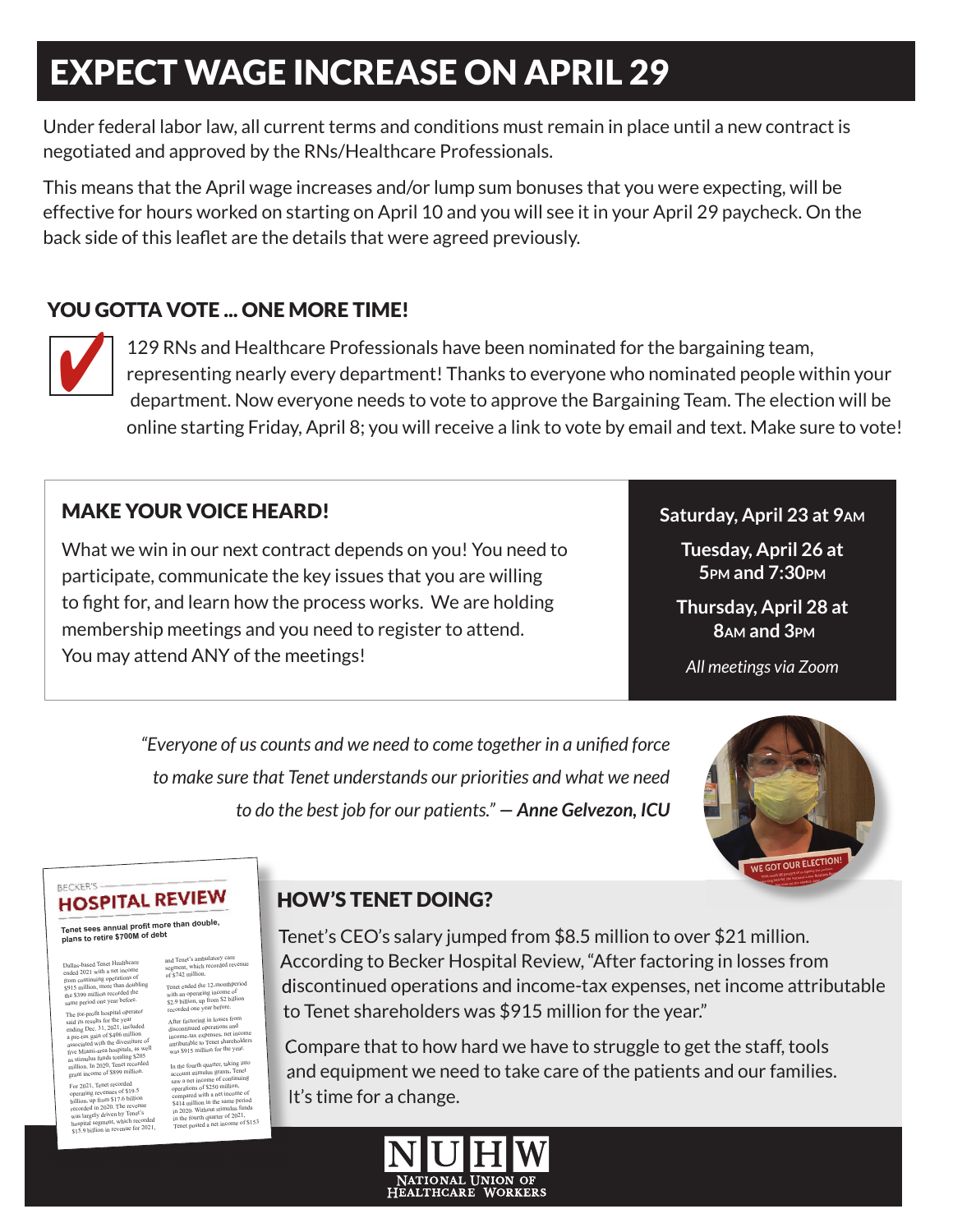# EXPECT WAGE INCREASE ON APRIL 29

Under federal labor law, all current terms and conditions must remain in place until a new contract is negotiated and approved by the RNs/Healthcare Professionals.

This means that the April wage increases and/or lump sum bonuses that you were expecting, will be effective for hours worked on starting on April 10 and you will see it in your April 29 paycheck. On the back side of this leaflet are the details that were agreed previously.

### YOU GOTTA VOTE ... ONE MORE TIME!



129 RNs and Healthcare Professionals have been nominated for the bargaining team, representing nearly every department! Thanks to everyone who nominated people within your department. Now everyone needs to vote to approve the Bargaining Team. The election will be online starting Friday, April 8; you will receive a link to vote by email and text. Make sure to vote!

### MAKE YOUR VOICE HEARD!

What we win in our next contract depends on you! You need to participate, communicate the key issues that you are willing to fight for, and learn how the process works. We are holding membership meetings and you need to register to attend. You may attend ANY of the meetings!

### **Saturday, April 23 at 9AM**

**Tuesday, April 26 at 5PM and 7:30PM**

**Thursday, April 28 at 8AM and 3PM**

*All meetings via Zoom*

"Everyone of us counts and we need to come together in a unified force *to make sure that Tenet understands our priorities and what we need to do the best job for our patients." — Anne Gelvezon, ICU*



#### BECKER'S **HOSPITAL REVIEW**

**Tenet sees annual profi t more than double, plans to retire \$700M of debt**

Dallas-based Tenet Healthcare<br>ended 2021 with a net income<br>from continuing operations of<br>\$915 million, more than doubling<br>the \$399 million recorded the<br>same period one year before.

The for-profit hospital operator<br>said is results for the year<br>ending Dec. 31, 2021, included<br>a pre-tax gain of \$400 milion<br>associated with the divestiture of<br>sosciented with the divestiture of<br>five Minni-area hospitals, as

For 2021, Tenet recorded<br>operating revenues of \$19.5<br>billion, up from \$17.6 billion<br>recorded in 2020. The revenue<br>was largely driven by Tenet's<br>hospital segment, which recorded<br>\$15.9 billion in revenue for 2021,

and Tenet's ambulatory care segment, which recorded revenue of \$742 million.

Tenet ended the 12-monthperiod with an operating income o<sup>f</sup> \$2.9 billion, up from \$2 billion recorded one year before. After factoring in losses from discontinued operations an<sup>d</sup> income-tax expenses, net income attributable to Tenet shareholders was \$915 million for the year.

In the fourth quarter, taking into<br>account situatus grants, Tenet<br>saw a net income of continuing<br>operations of \$250 million,<br> $\frac{1}{2}$ <br>operations of \$250 million<br> $\frac{1}{2}$  and  $\frac{1}{2}$  and  $\frac{1}{2}$  and  $\frac{1}{2}$  and  $\frac$ 

### HOW'S TENET DOING?

Tenet's CEO's salary jumped from \$8.5 million to over \$21 million. According to Becker Hospital Review, "After factoring in losses from discontinued operations and income-tax expenses, net income attributable to Tenet shareholders was \$915 million for the year."

Compare that to how hard we have to struggle to get the staff, tools and equipment we need to take care of the patients and our families. It's time for a change.